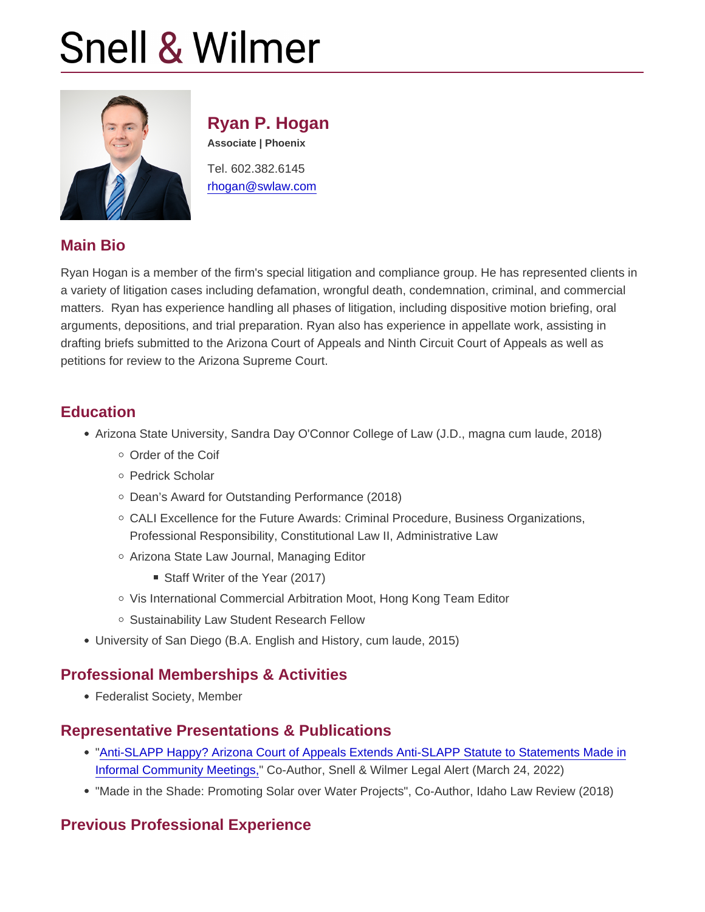# Ryan P. Hogan

Associate | Phoenix

Tel. 602.382.6145 [rhogan@swlaw.com](mailto:rhogan@swlaw.com)

# Main Bio

Ryan Hogan is a member of the firm's special litigation and compliance group. He has represented clients in a variety of litigation cases including defamation, wrongful death, condemnation, criminal, and commercial matters. Ryan has experience handling all phases of litigation, including dispositive motion briefing, oral arguments, depositions, and trial preparation. Ryan also has experience in appellate work, assisting in drafting briefs submitted to the Arizona Court of Appeals and Ninth Circuit Court of Appeals as well as petitions for review to the Arizona Supreme Court.

#### **Education**

- Arizona State University, Sandra Day O'Connor College of Law (J.D., magna cum laude, 2018)
	- Order of the Coif
	- o Pedrick Scholar
	- o Dean's Award for Outstanding Performance (2018)
	- CALI Excellence for the Future Awards: Criminal Procedure, Business Organizations, Professional Responsibility, Constitutional Law II, Administrative Law
	- Arizona State Law Journal, Managing Editor
		- Staff Writer of the Year (2017)
	- $\circ$  Vis International Commercial Arbitration Moot, Hong Kong Team Editor
	- o Sustainability Law Student Research Fellow
- University of San Diego (B.A. English and History, cum laude, 2015)

### Professional Memberships & Activities

Federalist Society, Member

### Representative Presentations & Publications

- ["Anti-SLAPP Happy? Arizona Court of Appeals Extends Anti-SLAPP Statute to Statements Made in](https://www.swlaw.com/publications/legal-alerts/3068) [Informal Community Meetings,](https://www.swlaw.com/publications/legal-alerts/3068)" Co-Author, Snell & Wilmer Legal Alert (March 24, 2022)
- "Made in the Shade: Promoting Solar over Water Projects", Co-Author, Idaho Law Review (2018)

### Previous Professional Experience